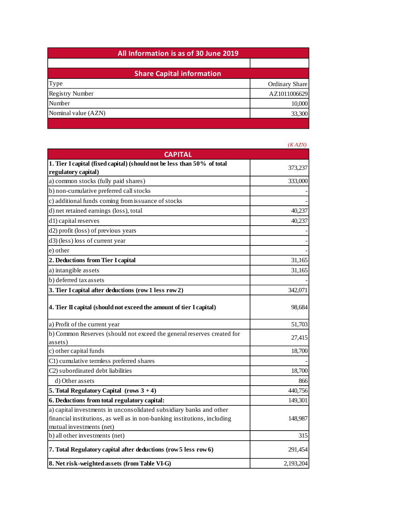| All Information is as of 30 June 2019 |                |  |  |
|---------------------------------------|----------------|--|--|
|                                       |                |  |  |
| <b>Share Capital information</b>      |                |  |  |
| Type                                  | Ordinary Share |  |  |
| <b>Registry Number</b>                | AZ1011006629   |  |  |
| Number                                | 10,000         |  |  |
| Nominal value (AZN)                   | 33,300         |  |  |
|                                       |                |  |  |

|                                                                                                                                                  | (KAZN)    |
|--------------------------------------------------------------------------------------------------------------------------------------------------|-----------|
| <b>CAPITAL</b>                                                                                                                                   |           |
| 1. Tier I capital (fixed capital) (should not be less than 50% of total                                                                          | 373,237   |
| regulatory capital)                                                                                                                              |           |
| a) common stocks (fully paid shares)                                                                                                             | 333,000   |
| b) non-cumulative preferred call stocks                                                                                                          |           |
| c) additional funds coming from issuance of stocks                                                                                               |           |
| d) net retained earnings (loss), total                                                                                                           | 40,237    |
| d1) capital reserves                                                                                                                             | 40,237    |
| d2) profit (loss) of previous years                                                                                                              |           |
| d3) (less) loss of current year                                                                                                                  |           |
| e) other                                                                                                                                         |           |
| 2. Deductions from Tier I capital                                                                                                                | 31,165    |
| a) intangible assets                                                                                                                             | 31,165    |
| b) deferred tax assets                                                                                                                           |           |
| 3. Tier I capital after deductions (row 1 less row 2)                                                                                            | 342,071   |
| 4. Tier II capital (should not exceed the amount of tier I capital)                                                                              | 98,684    |
| a) Profit of the current year                                                                                                                    | 51,703    |
| b) Common Reserves (should not exceed the general reserves created for<br>assets)                                                                | 27,415    |
| c) other capital funds                                                                                                                           | 18,700    |
| C1) cumulative termless preferred shares                                                                                                         |           |
| C <sub>2</sub> ) subordinated debt liabilities                                                                                                   | 18,700    |
| d) Other assets                                                                                                                                  | 866       |
| 5. Total Regulatory Capital (rows $3 + 4$ )                                                                                                      | 440,756   |
| 6. Deductions from total regulatory capital:                                                                                                     | 149,301   |
| a) capital investments in unconsolidated subsidiary banks and other<br>financial institutions, as well as in non-banking institutions, including | 148,987   |
| mutual investments (net)                                                                                                                         |           |
| b) all other investments (net)                                                                                                                   | 315       |
| 7. Total Regulatory capital after deductions (row 5 less row 6)                                                                                  | 291,454   |
| 8. Net risk-weighted assets (from Table VI-G)                                                                                                    | 2,193,204 |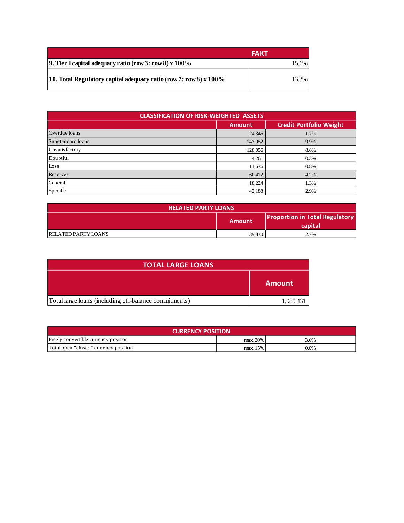|                                                                     | FAKT  |  |
|---------------------------------------------------------------------|-------|--|
| 9. Tier I capital adequacy ratio (row 3: row 8) $x 100\%$           | 15.6% |  |
| 10. Total Regulatory capital adequacy ratio (row 7: row 8) $x$ 100% | 13.3% |  |

| <b>CLASSIFICATION OF RISK-WEIGHTED ASSETS</b> |               |      |  |  |
|-----------------------------------------------|---------------|------|--|--|
|                                               | <b>Amount</b> |      |  |  |
| Overdue loans                                 | 24,346        | 1.7% |  |  |
| Substandard loans                             | 143,952       | 9.9% |  |  |
| Unsatisfactory                                | 128,056       | 8.8% |  |  |
| Doubtful                                      | 4,261         | 0.3% |  |  |
| Loss                                          | 11,636        | 0.8% |  |  |
| Reserves                                      | 60,412        | 4.2% |  |  |
| General                                       | 18,224        | 1.3% |  |  |
| Specific                                      | 42,188        | 2.9% |  |  |

| <b>RELATED PARTY LOANS</b> |                                                            |      |
|----------------------------|------------------------------------------------------------|------|
|                            | <b>Proportion in Total Regulatory</b><br>Amount<br>capital |      |
| <b>RELATED PARTY LOANS</b> | 39,830                                                     | 2.7% |

| <b>TOTAL LARGE LOANS</b>                              |           |  |
|-------------------------------------------------------|-----------|--|
|                                                       | Amount    |  |
| Total large loans (including off-balance commitments) | 1,985,431 |  |

| <b>CURRENCY POSITION</b>              |          |         |  |
|---------------------------------------|----------|---------|--|
| Freely convertible currency position  | max. 20% | 3.6%    |  |
| Total open "closed" currency position | max. 15% | $0.0\%$ |  |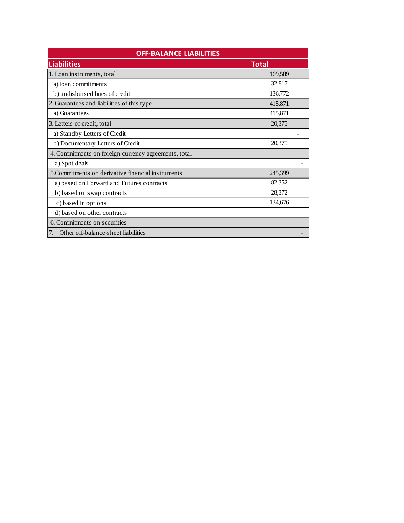| <b>OFF-BALANCE LIABILITIES</b>                       |         |  |
|------------------------------------------------------|---------|--|
| <b>Liabilities</b>                                   | Total   |  |
| 1. Loan instruments, total                           | 169,589 |  |
| a) loan commitments                                  | 32,817  |  |
| b) undisbursed lines of credit                       | 136,772 |  |
| 2. Guarantees and liabilities of this type           | 415,871 |  |
| a) Guarantees                                        | 415,871 |  |
| 3. Letters of credit, total                          | 20,375  |  |
| a) Standby Letters of Credit                         |         |  |
| b) Documentary Letters of Credit                     | 20,375  |  |
| 4. Commitments on foreign currency agreements, total |         |  |
| a) Spot deals                                        |         |  |
| 5. Commitments on derivative financial instruments   | 245,399 |  |
| a) based on Forward and Futures contracts            | 82,352  |  |
| b) based on swap contracts                           | 28,372  |  |
| c) based in options                                  | 134,676 |  |
| d) based on other contracts                          |         |  |
| 6. Commitments on securities                         |         |  |
| Other off-balance-sheet liabilities<br>7.            |         |  |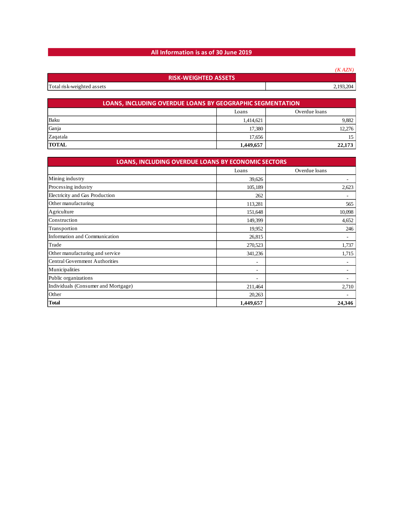## **All Information is as of 30 June 2019**

|                             | (KAZN)    |
|-----------------------------|-----------|
| <b>RISK-WEIGHTED ASSETS</b> |           |
| Total risk-weighted assets  | 2,193,204 |

| <b>LOANS, INCLUDING OVERDUE LOANS BY GEOGRAPHIC SEGMENTATION</b> |           |        |  |  |
|------------------------------------------------------------------|-----------|--------|--|--|
| Overdue loans<br>Loans                                           |           |        |  |  |
| Baku                                                             | 1,414,621 | 9,882  |  |  |
| Ganja                                                            | 17.380    | 12,276 |  |  |
| Zagatala                                                         | 17.656    |        |  |  |
| <b>TOTAL</b>                                                     | 1,449,657 | 22,173 |  |  |

| LOANS, INCLUDING OVERDUE LOANS BY ECONOMIC SECTORS |                          |               |  |  |
|----------------------------------------------------|--------------------------|---------------|--|--|
|                                                    | Loans                    | Overdue loans |  |  |
| Mining industry                                    | 39,626                   | ۰             |  |  |
| Processing industry                                | 105,189                  | 2,623         |  |  |
| Electricity and Gas Production                     | 262                      | ٠             |  |  |
| Other manufacturing                                | 113,281                  | 565           |  |  |
| Agriculture                                        | 151,648                  | 10,098        |  |  |
| Construction                                       | 149,399                  | 4,652         |  |  |
| Transportion                                       | 19,952                   | 246           |  |  |
| Information and Communication                      | 26,815                   |               |  |  |
| Trade                                              | 270,523                  | 1,737         |  |  |
| Other manufacturing and service                    | 341,236                  | 1,715         |  |  |
| <b>Central Government Authorities</b>              | $\overline{\phantom{a}}$ |               |  |  |
| Municipalities                                     | $\overline{\phantom{a}}$ |               |  |  |
| Public organizations                               | $\overline{\phantom{a}}$ |               |  |  |
| Individuals (Consumer and Mortgage)                | 211,464                  | 2,710         |  |  |
| Other                                              | 20,263                   | ٠             |  |  |
| <b>Total</b>                                       | 1,449,657                | 24,346        |  |  |